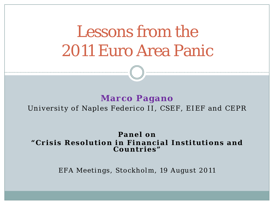Lessons from the 2011 Euro Area Panic

#### **Marco Pagano** University of Naples Federico II, CSEF, EIEF and CEPR

#### **Panel on "Crisis Resolution in Financial Institutions and Countries"**

EFA Meetings, Stockholm, 19 August 2011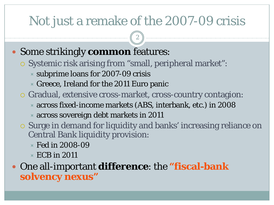### Not just a remake of the 2007-09 crisis

2

### Some strikingly **common** features:

- Systemic risk arising from "small, peripheral market":
	- $\times$  subprime loans for 2007-09 crisis
	- $\blacktriangleright$  Greece, Ireland for the 2011 Euro panic
- Gradual, extensive cross-market, cross-country contagion:
	- across fixed-income markets (ABS, interbank, etc.) in 2008
	- across sovereign debt markets in 2011
- Surge in demand for liquidity and banks' increasing reliance on Central Bank liquidity provision:
	- Fed in 2008-09
	- $\times$  ECB in 2011

### One all-important **difference**: the **"fiscal-bank solvency nexus"**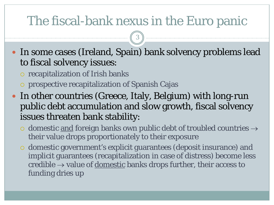### The fiscal-bank nexus in the Euro panic

3

 In some cases (Ireland, Spain) bank solvency problems lead to fiscal solvency issues:

- o recapitalization of Irish banks
- prospective recapitalization of Spanish Cajas
- In other countries (Greece, Italy, Belgium) with long-run public debt accumulation and slow growth, fiscal solvency issues threaten bank stability:
	- $\circ$  domestic and foreign banks own public debt of troubled countries  $\rightarrow$ their value drops proportionately to their exposure
	- domestic government's explicit guarantees (deposit insurance) and implicit guarantees (recapitalization in case of distress) become less credible  $\rightarrow$  value of <u>domestic</u> banks drops further, their access to funding dries up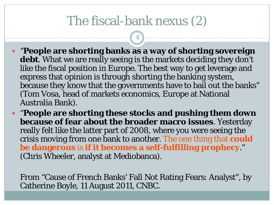### The fiscal-bank nexus (2)

4

- "**People are shorting banks as a way of shorting sovereign**  debt. What we are really seeing is the markets deciding they don't like the fiscal position in Europe. The best way to get leverage and express that opinion is through shorting the banking system, because they know that the governments have to bail out the banks" (Tom Vosa, head of markets economics, Europe at National Australia Bank).
- "**People are shorting these stocks and pushing them down because of fear about the broader macro issues**. Yesterday really felt like the latter part of 2008, where you were seeing the crisis moving from one bank to another. The one thing that **could be dangerous** is **if it becomes a self-fulfilling prophecy**." (Chris Wheeler, analyst at Mediobanca).

From "Cause of French Banks' Fall Not Rating Fears: Analyst", by Catherine Boyle, 11 August 2011, CNBC.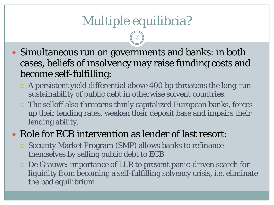# Multiple equilibria?

5

- Simultaneous run on governments and banks: in both cases, beliefs of insolvency may raise funding costs and become self-fulfilling:
	- A persistent yield differential above 400 bp threatens the long-run sustainability of public debt in otherwise solvent countries.
	- The selloff also threatens thinly capitalized European banks, forces up their lending rates, weaken their deposit base and impairs their lending ability.

### • Role for ECB intervention as lender of last resort:

- Security Market Program (SMP) allows banks to refinance themselves by selling public debt to ECB
- De Grauwe: importance of LLR to prevent panic-driven search for liquidity from becoming a self-fulfilling solvency crisis, i.e. eliminate the bad equilibrium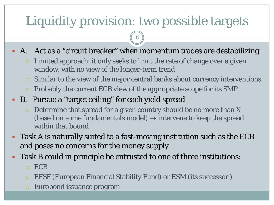# Liquidity provision: two possible targets

A. Act as a "circuit breaker" when momentum trades are destabilizing

6

- Limited approach: it only seeks to limit the rate of change over a given window, with no view of the longer-term trend
- $\circ$  Similar to the view of the major central banks about currency interventions
- Probably the current ECB view of the appropriate scope for its SMP
- B. Pursue a "target ceiling" for each yield spread
	- Determine that spread for a given country should be no more than X (based on some fundamentals model)  $\rightarrow$  intervene to keep the spread within that bound
- Task A is naturally suited to a fast-moving institution such as the ECB and poses no concerns for the money supply
- Task B could in principle be entrusted to one of three institutions:
	- ECB
	- EFSF (European Financial Stability Fund) or ESM (its successor )
	- Eurobond issuance program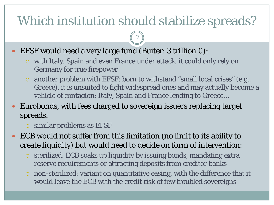# Which institution should stabilize spreads?

7

### EFSF would need a very large fund (Buiter: 3 trillion  $\epsilon$ ):

- with Italy, Spain and even France under attack, it could only rely on Germany for true firepower
- another problem with EFSF: born to withstand "small local crises" (e.g., Greece), it is unsuited to fight widespread ones and may actually become a vehicle of contagion: Italy, Spain and France lending to Greece…

### Eurobonds, with fees charged to sovereign issuers replacing target spreads:

similar problems as EFSF

 ECB would not suffer from this limitation (no limit to its ability to create liquidity) but would need to decide on form of intervention:

- sterilized: ECB soaks up liquidity by issuing bonds, mandating extra reserve requirements or attracting deposits from creditor banks
- non-sterilized: variant on quantitative easing, with the difference that it would leave the ECB with the credit risk of few troubled sovereigns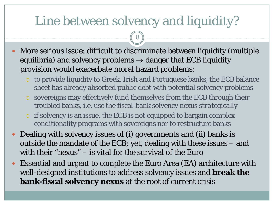### Line between solvency and liquidity?

8

 More serious issue: difficult to discriminate between liquidity (multiple equilibria) and solvency problems  $\rightarrow$  danger that ECB liquidity provision would exacerbate moral hazard problems:

- to provide liquidity to Greek, Irish and Portuguese banks, the ECB balance sheet has already absorbed public debt with potential solvency problems
- sovereigns may effectively fund themselves from the ECB through their troubled banks, i.e. use the fiscal-bank solvency nexus *strategically*
- $\circ$  if solvency is an issue, the ECB is not equipped to bargain complex conditionality programs with sovereigns nor to restructure banks
- Dealing with solvency issues of (i) governments and (ii) banks is outside the mandate of the ECB; yet, dealing with these issues – and with their "nexus" – is vital for the survival of the Euro
- Essential and urgent to complete the Euro Area (EA) architecture with well-designed institutions to address solvency issues and **break the bank-fiscal solvency nexus** at the root of current crisis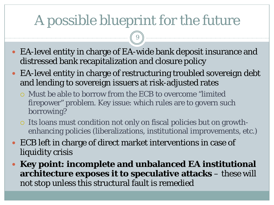# A possible blueprint for the future

9

- EA-level entity in charge of EA-wide bank deposit insurance and distressed bank recapitalization and closure policy
- EA-level entity in charge of restructuring troubled sovereign debt and lending to sovereign issuers at risk-adjusted rates
	- Must be able to borrow from the ECB to overcome "limited firepower" problem. Key issue: which rules are to govern such borrowing?
	- Its loans must condition not only on fiscal policies but on growthenhancing policies (liberalizations, institutional improvements, etc.)
- ECB left in charge of direct market interventions in case of liquidity crisis
- **Key point: incomplete and unbalanced EA institutional architecture exposes it to speculative attacks** – these will not stop unless this structural fault is remedied